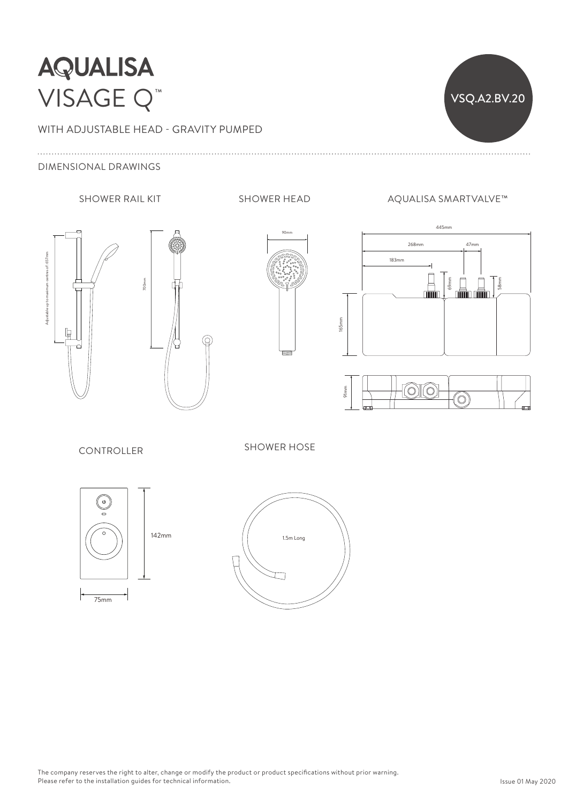## **AQUALISA** VISAGE Q™

WITH ADJUSTABLE HEAD - GRAVITY PUMPED







SHOWER RAIL KIT SHOWER HEAD AQUALISA SMARTVALVE™

VSQ.A2.BV.20

165mm





**CONTROLLER** 

SHOWER HOSE

268mm 47mm 47mm 47mm 47mm 47mm



 $142mm$